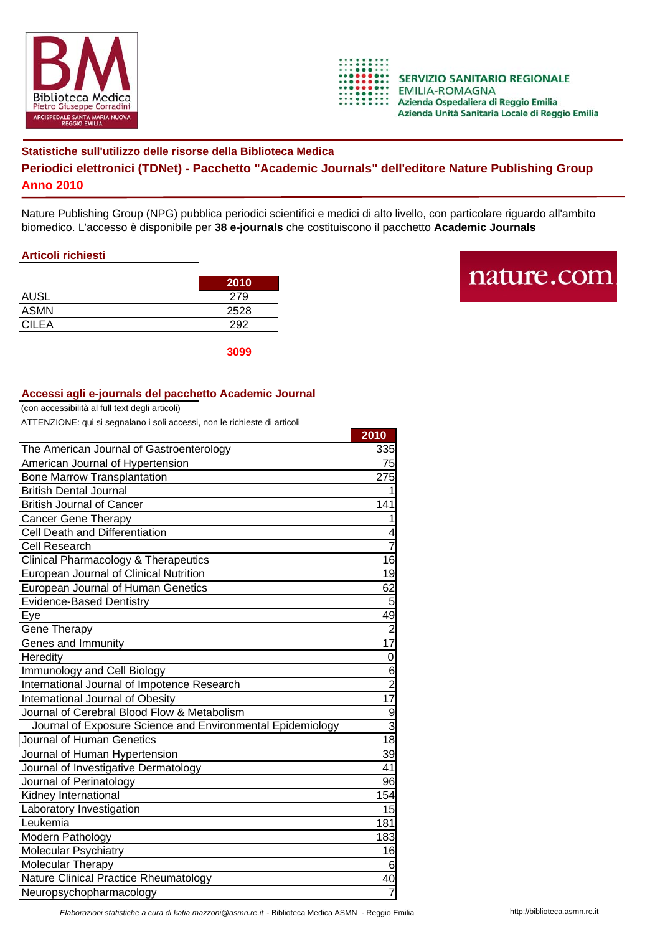



**2010**

## **Statistiche sull'utilizzo delle risorse della Biblioteca Medica Periodici elettronici (TDNet) - Pacchetto "Academic Journals" dell'editore Nature Publishing Group Anno 2010**

Nature Publishing Group (NPG) pubblica periodici scientifici e medici di alto livello, con particolare riguardo all'ambito biomedico. L'accesso è disponibile per **38 e-journals** che costituiscono il pacchetto **Academic Journals**

## **Articoli richiesti**

|              | 2010 |
|--------------|------|
| <b>AUSL</b>  | 279  |
| <b>ASMN</b>  | 2528 |
| <b>CILEA</b> | つロつ  |

nature.com

**3099**

## **Accessi agli e-journals del pacchetto Academic Journal**

(con accessibilità al full text degli articoli)

| ATTENZIONE: qui si segnalano i soli accessi, non le richieste di articoli |  |
|---------------------------------------------------------------------------|--|
|                                                                           |  |

|                                                            | ZUIU            |
|------------------------------------------------------------|-----------------|
| The American Journal of Gastroenterology                   |                 |
| American Journal of Hypertension                           | 75              |
| <b>Bone Marrow Transplantation</b>                         | 275             |
| <b>British Dental Journal</b>                              |                 |
| <b>British Journal of Cancer</b>                           | 141             |
| <b>Cancer Gene Therapy</b>                                 | 1               |
| Cell Death and Differentiation                             | 4               |
| <b>Cell Research</b>                                       | $\overline{7}$  |
| <b>Clinical Pharmacology &amp; Therapeutics</b>            | 16              |
| European Journal of Clinical Nutrition                     | 19              |
| European Journal of Human Genetics                         | 62              |
| <b>Evidence-Based Dentistry</b>                            | 5               |
| Eye                                                        | 49              |
| Gene Therapy                                               | $\overline{2}$  |
| Genes and Immunity                                         | $\overline{17}$ |
| Heredity                                                   | $\mathbf 0$     |
| Immunology and Cell Biology                                | 6               |
| International Journal of Impotence Research                | $\frac{2}{17}$  |
| International Journal of Obesity                           |                 |
| Journal of Cerebral Blood Flow & Metabolism                | $\overline{9}$  |
| Journal of Exposure Science and Environmental Epidemiology | $\overline{3}$  |
| Journal of Human Genetics                                  | 18              |
| Journal of Human Hypertension                              | 39              |
| Journal of Investigative Dermatology                       | 41              |
| Journal of Perinatology                                    | 96              |
| Kidney International                                       | 154             |
| Laboratory Investigation                                   | 15              |
| Leukemia                                                   | 181             |
| Modern Pathology                                           | 183             |
| <b>Molecular Psychiatry</b>                                | 16              |
| Molecular Therapy                                          | 6               |
| Nature Clinical Practice Rheumatology                      | 40              |
| Neuropsychopharmacology                                    | $\overline{7}$  |